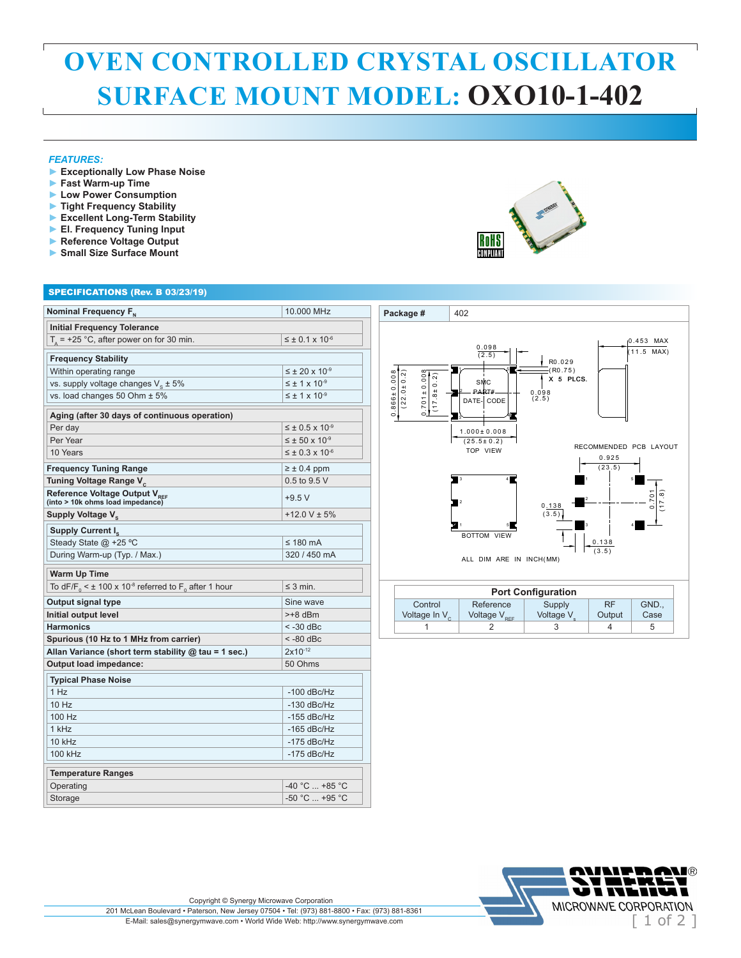## **OVEN CONTROLLED CRYSTAL OSCILLATOR SURFACE MOUNT MODEL: OXO10-1-402**

## *FEATURES:*

ſ

- **► Exceptionally Low Phase Noise**
- **► Fast Warm-up Time**
- **► Low Power Consumption**
- **► Tight Frequency Stability**
- **► Excellent Long-Term Stability**

SPECIFICATIONS (Rev. B 03/23/19)

- **► El. Frequency Tuning Input**
- **► Reference Voltage Output ► Small Size Surface Mount**

|                                                | 10,000 MHz                                                                     |
|------------------------------------------------|--------------------------------------------------------------------------------|
| <b>Initial Frequency Tolerance</b>             |                                                                                |
|                                                | $\leq \pm 0.1 \times 10^{-6}$                                                  |
| <b>Frequency Stability</b>                     |                                                                                |
| Within operating range                         | $\leq \pm 20 \times 10^{-9}$                                                   |
| vs. supply voltage changes $V_{\rm g} \pm 5\%$ | $\leq \pm 1 \times 10^{-9}$                                                    |
| vs. load changes 50 Ohm ± 5%                   | $\leq \pm 1 \times 10^{-9}$                                                    |
|                                                | Nominal Frequency F <sub>N</sub><br>$T_a$ = +25 °C, after power on for 30 min. |

| Within operating range                                                                      | $\leq$ ± 20 x 10 <sup>-9</sup> |
|---------------------------------------------------------------------------------------------|--------------------------------|
| vs. supply voltage changes $V_{e} \pm 5\%$                                                  | $\leq \pm 1 \times 10^{-9}$    |
| vs. load changes 50 Ohm ± 5%                                                                | $\leq \pm 1 \times 10^{-9}$    |
| Aging (after 30 days of continuous operation)                                               |                                |
| Per day                                                                                     | $\leq \pm 0.5 \times 10^{-9}$  |
| Per Year                                                                                    | $\leq \pm 50 \times 10^{-9}$   |
| 10 Years                                                                                    | $\leq \pm 0.3 \times 10^{-6}$  |
| <b>Frequency Tuning Range</b>                                                               | $\geq \pm 0.4$ ppm             |
| Tuning Voltage Range V <sub>c</sub>                                                         | $0.5$ to $9.5$ V               |
| Reference Voltage Output V <sub>REF</sub><br>(into > 10k ohms load impedance)               | $+9.5V$                        |
| Supply Voltage V <sub>c</sub>                                                               | $+12.0$ V $\pm$ 5%             |
| Supply Current I <sub>s</sub>                                                               |                                |
| Steady State @ +25 °C                                                                       | $\leq$ 180 mA                  |
| During Warm-up (Typ. / Max.)                                                                | 320 / 450 mA                   |
| <b>Warm Up Time</b>                                                                         |                                |
| To dF/F <sub>0</sub> < $\pm$ 100 x 10 <sup>-8</sup> referred to F <sub>0</sub> after 1 hour | $\leq$ 3 min.                  |
| Output signal type                                                                          | Sine wave                      |
| Initial output level                                                                        | $> +8$ dBm                     |
| <b>Harmonics</b>                                                                            | $< -30$ dBc                    |
| Spurious (10 Hz to 1 MHz from carrier)                                                      | $< -80$ dBc                    |
| Allan Variance (short term stability $@$ tau = 1 sec.)                                      | $2x10^{-12}$                   |
| Output load impedance:                                                                      | 50 Ohms                        |
| <b>Typical Phase Noise</b>                                                                  |                                |
| 1 Hz                                                                                        | $-100$ dBc/Hz                  |
| $10$ Hz                                                                                     | $-130$ dBc/Hz                  |
| 100 Hz                                                                                      | $-155$ dBc/Hz                  |
| 1 kHz                                                                                       | $-165$ dBc/Hz                  |
| 10 kHz                                                                                      | $-175$ dBc/Hz                  |
| 100 kHz                                                                                     | $-175$ dBc/Hz                  |
| <b>Temperature Ranges</b>                                                                   |                                |
| Operating                                                                                   | $-40 °C  +85 °C$               |
| Storage                                                                                     | $-50 °C$ $+95 °C$              |
|                                                                                             |                                |



## **Package #** 402 X 5 PLCS. 1 2 3 4 5 0 .9 2 5  $0.138$  $\overline{\phantom{a}}$  $(17.8)$ SMC PART# DATE- CODE 2  $\overline{\ }$   $\longrightarrow$ 5 ∽ا'ہ  $(17.8 \pm 0.2)$  $(22.0 \pm 0.2)$  $(22.0 \pm 0.2)$ 0 .0 9 8 ( 2 .5 )  $\frac{0.098}{(2.5)}$ ( R0 .7 5 )  $(25.5 \pm 0.2)$ <br>TOP VIEW 0 .453 MAX 3 4 1 5 2 RECOMMENDED PCB LAYOUT BOTTOM VIEW ALL DIM ARE IN INCH(MM)  $0.866 \pm 0.008$  .866 ± 0 .0 0 8 .701 ± 0 .0 0 8  $1.000 \pm 0.008$  $R0.029$  $(23.5)$  .7 0 1  $(3.5)$  $(\overline{3.5})$ 0 .1 3 8  $(1.5 \text{ MAX})$

| <b>Port Configuration</b>          |  |                                                  |                     |                     |               |  |  |
|------------------------------------|--|--------------------------------------------------|---------------------|---------------------|---------------|--|--|
| Control<br>Voltage In $V_{\alpha}$ |  | Reference<br>Voltage $\mathsf{V}_{\mathsf{ref}}$ | Supply<br>Voltage V | <b>RF</b><br>Output | GND.,<br>Case |  |  |
|                                    |  |                                                  |                     |                     |               |  |  |